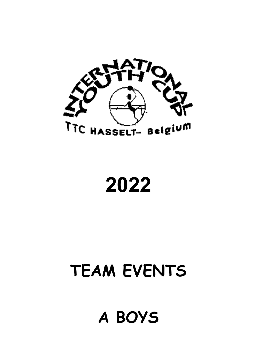

# 2022

## TEAM EVENTS

### A BOYS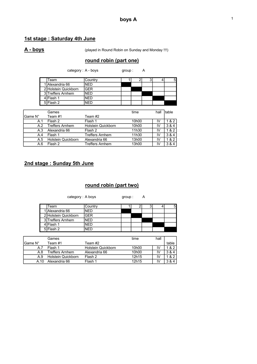### 1st stage : Saturday 4th June

A - boys (played in Round Robin on Sunday and Monday !!!)

#### round robin (part one)

| Team                 | Countrv    |  |  |  |
|----------------------|------------|--|--|--|
| Alexandria 66        | <b>NFD</b> |  |  |  |
| 2 Holstein Quickborn | <b>GER</b> |  |  |  |
| 3 Treffers Arnhem    | NFD        |  |  |  |
| 4ÌFlash 1            | NFD        |  |  |  |
| 5 Flash 2            | JFD        |  |  |  |

category : A - boys group : A

|          | Games                  |                        | time               | hall | Itable |
|----------|------------------------|------------------------|--------------------|------|--------|
| 'Game N° | Team #1                | Team #2                |                    |      |        |
| A.1      | Flash 2                | Flash 1                | 10 <sub>h</sub> 00 | I٧   | 182    |
| A.2      | <b>Treffers Arnhem</b> | Holstein Quickborn     | 10 <sub>h</sub> 00 | ΙV   | 3 & 4  |
| A.3      | Alexandria 66          | Flash 2                | 11h30              | IV   | 182    |
| A.4      | Flash 1                | <b>Treffers Arnhem</b> | 11h30              | I٧   | 3 & 4  |
| A.5      | Holstein Quickborn     | Alexandria 66          | 13h00              | IV   | 1 & 2  |
| A.6      | Flash 2                | Treffers Arnhem        | 13h00              | ΙV   | 3 & 4  |

#### 2nd stage : Sunday 5th June

#### round robin (part two)

category : A boys group : A

| Team                 | Countrv |  |  |  |
|----------------------|---------|--|--|--|
| 1   Alexandria 66    | NFD     |  |  |  |
| 2 Holstein Quickborn | GFR     |  |  |  |
| 3 Treffers Arnhem    | NFD     |  |  |  |
| IFlash 1             | JED     |  |  |  |
| 5 Flash 2            | IFL     |  |  |  |

|          | Games                     |                           | time               | hall |       |
|----------|---------------------------|---------------------------|--------------------|------|-------|
| IGame N° | Team #1                   | Team #2                   |                    |      | table |
| A.7      | Flash 1                   | <b>Holstein Quickborn</b> | 10 <sub>h</sub> 00 | ΙV   | & 2   |
| A.8      | <b>Treffers Arnhem</b>    | Alexandria 66             | 10 <sub>h</sub> 00 | I٧   | 3 & 4 |
| A.9      | <b>Holstein Quickborn</b> | Flash 2                   | 12h15              | I٧   | 82    |
| A 10     | Alexandria 66             | Flash 1                   | 12h15              | I٧   | & 4   |